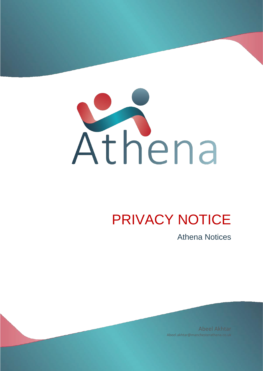

# PRIVACY NOTICE

Athena Notices

Abeel Akhtar Abeel.akhtar@manchesterathena.co.uk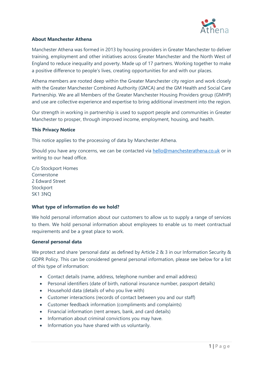

# **About Manchester Athena**

Manchester Athena was formed in 2013 by housing providers in Greater Manchester to deliver training, employment and other initiatives across Greater Manchester and the North West of England to reduce inequality and poverty. Made up of 17 partners. Working together to make a positive difference to people's lives, creating opportunities for and with our places.

Athena members are rooted deep within the Greater Manchester city region and work closely with the Greater Manchester Combined Authority (GMCA) and the GM Health and Social Care Partnership. We are all Members of the Greater Manchester Housing Providers group (GMHP) and use are collective experience and expertise to bring additional investment into the region.

Our strength in working in partnership is used to support people and communities in Greater Manchester to prosper, through improved income, employment, housing, and health.

## **This Privacy Notice**

This notice applies to the processing of data by Manchester Athena.

Should you have any concerns, we can be contacted via [hello@manchesterathena.co.uk](mailto:hello@manchesterathena.co.uk) or in writing to our head office.

C/o Stockport Homes Cornerstone 2 Edward Street Stockport SK1 3NQ

## **What type of information do we hold?**

We hold personal information about our customers to allow us to supply a range of services to them. We hold personal information about employees to enable us to meet contractual requirements and be a great place to work.

## **General personal data**

We protect and share 'personal data' as defined by Article 2 & 3 in our Information Security & GDPR Policy. This can be considered general personal information, please see below for a list of this type of information:

- Contact details (name, address, telephone number and email address)
- Personal identifiers (date of birth, national insurance number, passport details)
- Household data (details of who you live with)
- Customer interactions (records of contact between you and our staff)
- Customer feedback information (compliments and complaints)
- Financial information (rent arrears, bank, and card details)
- Information about criminal convictions you may have.
- Information you have shared with us voluntarily.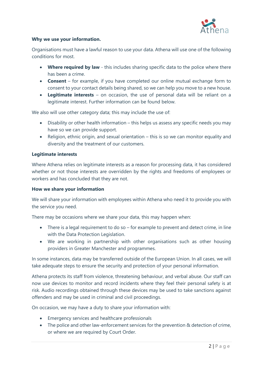

# **Why we use your information.**

Organisations must have a lawful reason to use your data. Athena will use one of the following conditions for most.

- **Where required by law** this includes sharing specific data to the police where there has been a crime.
- **Consent** for example, if you have completed our online mutual exchange form to consent to your contact details being shared, so we can help you move to a new house.
- **Legitimate interests** on occasion, the use of personal data will be reliant on a legitimate interest. Further information can be found below.

We also will use other category data; this may include the use of:

- Disability or other health information this helps us assess any specific needs you may have so we can provide support.
- Religion, ethnic origin, and sexual orientation this is so we can monitor equality and diversity and the treatment of our customers.

## **Legitimate interests**

Where Athena relies on legitimate interests as a reason for processing data, it has considered whether or not those interests are overridden by the rights and freedoms of employees or workers and has concluded that they are not.

## **How we share your information**

We will share your information with employees within Athena who need it to provide you with the service you need.

There may be occasions where we share your data, this may happen when:

- There is a legal requirement to do so for example to prevent and detect crime, in line with the Data Protection Legislation.
- We are working in partnership with other organisations such as other housing providers in Greater Manchester and programmes.

In some instances, data may be transferred outside of the European Union. In all cases, we will take adequate steps to ensure the security and protection of your personal information.

Athena protects its staff from violence, threatening behaviour, and verbal abuse. Our staff can now use devices to monitor and record incidents where they feel their personal safety is at risk. Audio recordings obtained through these devices may be used to take sanctions against offenders and may be used in criminal and civil proceedings.

On occasion, we may have a duty to share your information with:

- Emergency services and healthcare professionals
- The police and other law-enforcement services for the prevention & detection of crime, or where we are required by Court Order.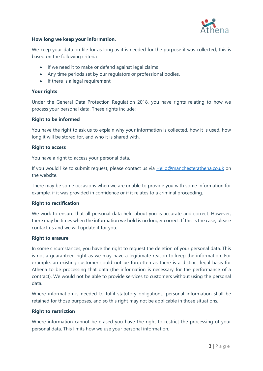

# **How long we keep your information.**

We keep your data on file for as long as it is needed for the purpose it was collected, this is based on the following criteria:

- If we need it to make or defend against legal claims
- Any time periods set by our regulators or professional bodies.
- If there is a legal requirement

### **Your rights**

Under the General Data Protection Regulation 2018, you have rights relating to how we process your personal data. These rights include:

## **Right to be informed**

You have the right to ask us to explain why your information is collected, how it is used, how long it will be stored for, and who it is shared with.

#### **Right to access**

You have a right to access your personal data.

If you would like to submit request, please contact us via **Hello@manchesterathena.co.uk** on the website.

There may be some occasions when we are unable to provide you with some information for example, if it was provided in confidence or if it relates to a criminal proceeding.

## **Right to rectification**

We work to ensure that all personal data held about you is accurate and correct. However, there may be times when the information we hold is no longer correct. If this is the case, please contact us and we will update it for you.

#### **Right to erasure**

In some circumstances, you have the right to request the deletion of your personal data. This is not a guaranteed right as we may have a legitimate reason to keep the information. For example, an existing customer could not be forgotten as there is a distinct legal basis for Athena to be processing that data (the information is necessary for the performance of a contract). We would not be able to provide services to customers without using the personal data.

Where information is needed to fulfil statutory obligations, personal information shall be retained for those purposes, and so this right may not be applicable in those situations.

# **Right to restriction**

Where information cannot be erased you have the right to restrict the processing of your personal data. This limits how we use your personal information.